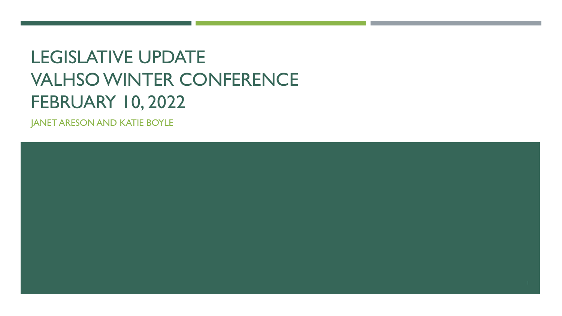# LEGISLATIVE UPDATE VALHSO WINTER CONFERENCE FEBRUARY 10, 2022

JANET ARESON AND KATIE BOYLE

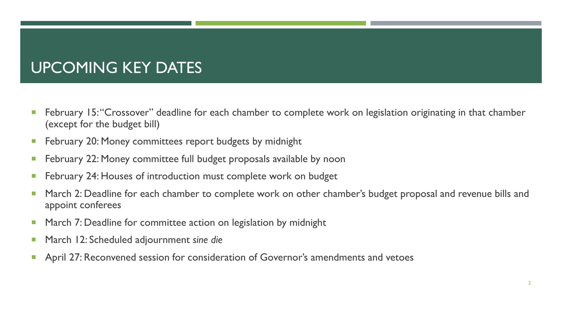## UPCOMING KEY DATES

- **February 15: "Crossover" deadline for each chamber to complete work on legislation originating in that chamber** (except for the budget bill)
- **February 20: Money committees report budgets by midnight**
- **F** February 22: Money committee full budget proposals available by noon
- **February 24: Houses of introduction must complete work on budget**
- **March 2: Deadline for each chamber to complete work on other chamber's budget proposal and revenue bills and** appoint conferees
- **March 7: Deadline for committee action on legislation by midnight**
- March 12: Scheduled adjournment *sine die*
- **April 27: Reconvened session for consideration of Governor's amendments and vetoes**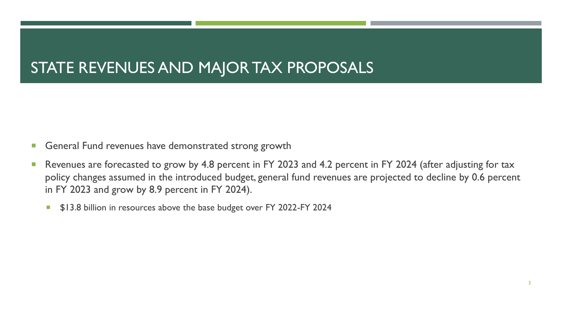## STATE REVENUES AND MAJOR TAX PROPOSALS

- General Fund revenues have demonstrated strong growth
- Revenues are forecasted to grow by 4.8 percent in FY 2023 and 4.2 percent in FY 2024 (after adjusting for tax policy changes assumed in the introduced budget, general fund revenues are projected to decline by 0.6 percent in FY 2023 and grow by 8.9 percent in FY 2024).
	- **513.8 billion in resources above the base budget over FY 2022-FY 2024**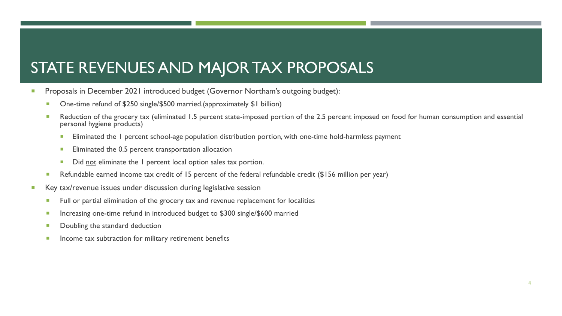## STATE REVENUES AND MAJOR TAX PROPOSALS

- **Proposals in December 2021 introduced budget (Governor Northam's outgoing budget):** 
	- One-time refund of \$250 single/\$500 married.(approximately \$1 billion)
	- Reduction of the grocery tax (eliminated 1.5 percent state-imposed portion of the 2.5 percent imposed on food for human consumption and essential personal hygiene products)
		- Eliminated the 1 percent school-age population distribution portion, with one-time hold-harmless payment
		- Eliminated the 0.5 percent transportation allocation
		- Did not eliminate the 1 percent local option sales tax portion.
	- Refundable earned income tax credit of 15 percent of the federal refundable credit (\$156 million per year)
- **Key tax/revenue issues under discussion during legislative session** 
	- Full or partial elimination of the grocery tax and revenue replacement for localities
	- Increasing one-time refund in introduced budget to \$300 single/\$600 married
	- Doubling the standard deduction
	- **Income tax subtraction for military retirement benefits**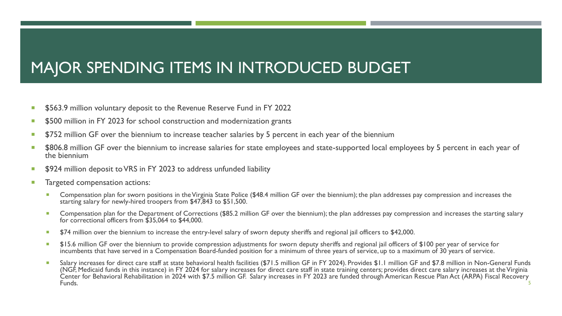## MAJOR SPENDING ITEMS IN INTRODUCED BUDGET

- **5563.9 million voluntary deposit to the Revenue Reserve Fund in FY 2022**
- \$500 million in FY 2023 for school construction and modernization grants
- **5752 million GF over the biennium to increase teacher salaries by 5 percent in each year of the biennium**
- \$806.8 million GF over the biennium to increase salaries for state employees and state-supported local employees by 5 percent in each year of the biennium
- **5924 million deposit to VRS in FY 2023 to address unfunded liability**
- **Targeted compensation actions:** 
	- Compensation plan for sworn positions in the Virginia State Police (\$48.4 million GF over the biennium); the plan addresses pay compression and increases the starting salary for newly-hired troopers from \$47,843 to \$51,500.
	- **Compensation plan for the Department of Corrections (\$85.2 million GF over the biennium); the plan addresses pay compression and increases the starting salary** for correctional officers from \$35,064 to \$44,000.
	- \$74 million over the biennium to increase the entry-level salary of sworn deputy sheriffs and regional jail officers to \$42,000.
	- **515.6 million GF over the biennium to provide compression adjustments for sworn deputy sheriffs and regional jail officers of \$100 per year of service for** incumbents that have served in a Compensation Board-funded position for a minimum of three years of service, up to a maximum of 30 years of service.
	- Salary increases for direct care staff at state behavioral health facilities (\$71.5 million GF in FY 2024). Provides \$1.1 million GF and \$7.8 million in Non-General Funds (NGF, Medicaid funds in this instance) in FY 2024 for salary increases for direct care staff in state training centers; provides direct care salary increases at the Virginia Center for Behavioral Rehabilitation in 2024 with \$7.5 million GF. Salary increases in FY 2023 are funded through American Rescue Plan Act (ARPA) Fiscal Recovery Funds. The contract of the contract of the contract of the contract of the contract of the contract of the contract of the contract of the contract of the contract of the contract of the contract of the contract of the con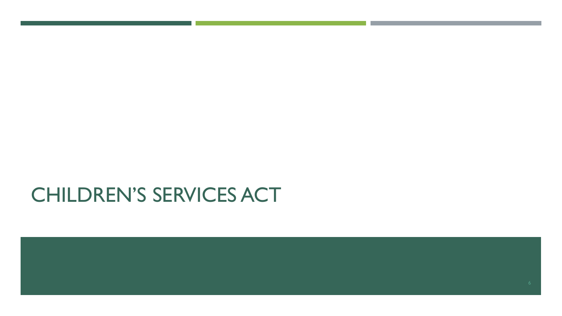## CHILDREN'S SERVICES ACT

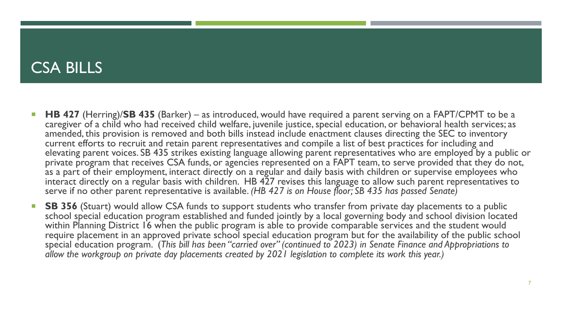#### CSA BILLS

- **HB 427** (Herring)/SB 435 (Barker) as introduced, would have required a parent serving on a FAPT/CPMT to be a caregiver of a child who had received child welfare, juvenile justice, special education, or behavioral health services; as amended, this provision is removed and both bills instead include enactment clauses directing the SEC to inventory current efforts to recruit and retain parent representatives and compile a list of best practices for including and elevating parent voices. SB 435 strikes existing language allowing parent representatives who are employed by a public or private program that receives CSA funds, or agencies represented on a FAPT team, to serve provided that they do not, as a part of their employment, interact directly on a regular and daily basis with children or supervise employees who interact directly on a regular basis with children. HB 427 revises this language to allow such parent representatives to serve if no other parent representative is available. *(HB 427 is on House floor; SB 435 has passed Senate)*
- **SB 356** (Stuart) would allow CSA funds to support students who transfer from private day placements to a public school special education program established and funded jointly by a local governing body and school division located within Planning District 16 when the public program is able to provide comparable services and the student would require placement in an approved private school special education program but for the availability of the public school special education program. (*This bill has been "carried over" (continued to 2023) in Senate Finance and Appropriations to allow the workgroup on private day placements created by 2021 legislation to complete its work this year.)*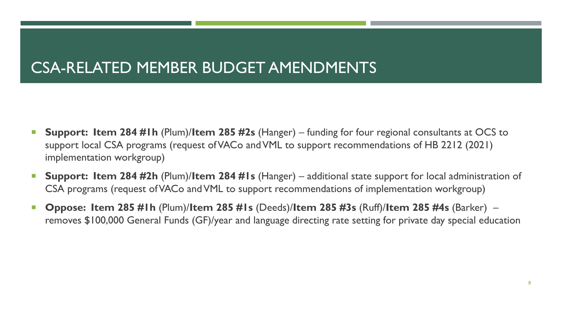## CSA-RELATED MEMBER BUDGET AMENDMENTS

- **Support: Item 284 #1h** (Plum)/**Item 285 #2s** (Hanger) funding for four regional consultants at OCS to support local CSA programs (request of VACo and VML to support recommendations of HB 2212 (2021) implementation workgroup)
- **Support: Item 284 #2h** (Plum)/**Item 284 #1s** (Hanger) additional state support for local administration of CSA programs (request of VACo and VML to support recommendations of implementation workgroup)
- **Oppose: Item 285 #1h** (Plum)/**Item 285 #1s** (Deeds)/**Item 285 #3s** (Ruff)/**Item 285 #4s** (Barker) removes \$100,000 General Funds (GF)/year and language directing rate setting for private day special education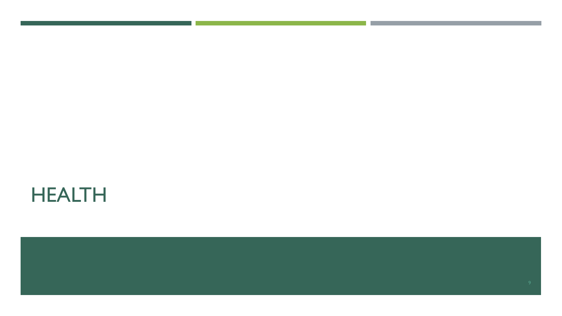## HEALTH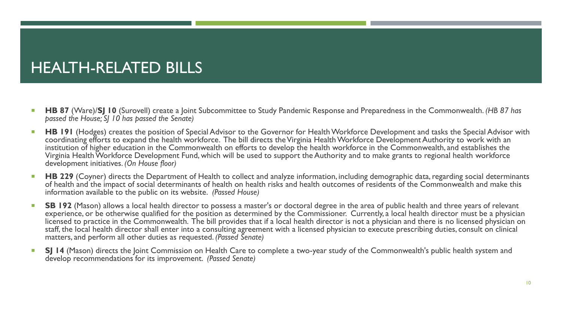## HEALTH-RELATED BILLS

- **HB 87** (Ware)/SJ 10 (Surovell) create a Joint Subcommittee to Study Pandemic Response and Preparedness in the Commonwealth. *(HB 87 has passed the House; SJ 10 has passed the Senate)*
- **HB 191** (Hodges) creates the position of Special Advisor to the Governor for Health Workforce Development and tasks the Special Advisor with coordinating efforts to expand the health workforce. The bill directs the Virginia Health Workforce Development Authority to work with an institution of higher education in the Commonwealth on efforts to develop the health workforce in the Commonwealth, and establishes the Virginia Health Workforce Development Fund, which will be used to support the Authority and to make grants to regional health workforce development initiatives. *(On House floor)*
- **HB 229** (Coyner) directs the Department of Health to collect and analyze information, including demographic data, regarding social determinants of health and the impact of social determinants of health on health risks and health outcomes of residents of the Commonwealth and make this information available to the public on its website. *(Passed House)*
- **SB 192** (Mason) allows a local health director to possess a master's or doctoral degree in the area of public health and three years of relevant experience, or be otherwise qualified for the position as determined by the Commissioner. Currently, a local health director must be a physician licensed to practice in the Commonwealth. The bill provides that if a local health director is not a physician and there is no licensed physician on staff, the local health director shall enter into a consulting agreement with a licensed physician to execute prescribing duties, consult on clinical matters, and perform all other duties as requested. *(Passed Senate)*
- **SJ 14** (Mason) directs the Joint Commission on Health Care to complete a two-year study of the Commonwealth's public health system and develop recommendations for its improvement. *(Passed Senate)*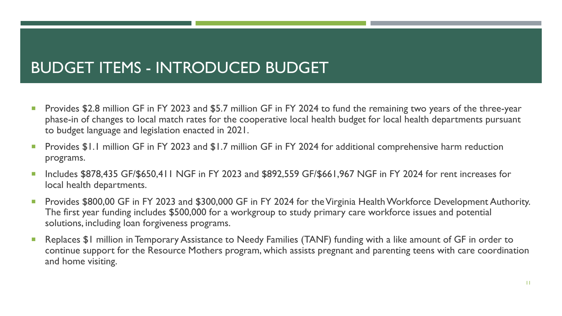## BUDGET ITEMS - INTRODUCED BUDGET

- **Provides \$2.8 million GF in FY 2023 and \$5.7 million GF in FY 2024 to fund the remaining two years of the three-year** phase-in of changes to local match rates for the cooperative local health budget for local health departments pursuant to budget language and legislation enacted in 2021.
- Provides \$1.1 million GF in FY 2023 and \$1.7 million GF in FY 2024 for additional comprehensive harm reduction programs.
- Includes \$878,435 GF/\$650,411 NGF in FY 2023 and \$892,559 GF/\$661,967 NGF in FY 2024 for rent increases for local health departments.
- **Provides \$800,00 GF in FY 2023 and \$300,000 GF in FY 2024 for the Virginia Health Workforce Development Authority.** The first year funding includes \$500,000 for a workgroup to study primary care workforce issues and potential solutions, including loan forgiveness programs.
- Replaces \$1 million in Temporary Assistance to Needy Families (TANF) funding with a like amount of GF in order to continue support for the Resource Mothers program, which assists pregnant and parenting teens with care coordination and home visiting.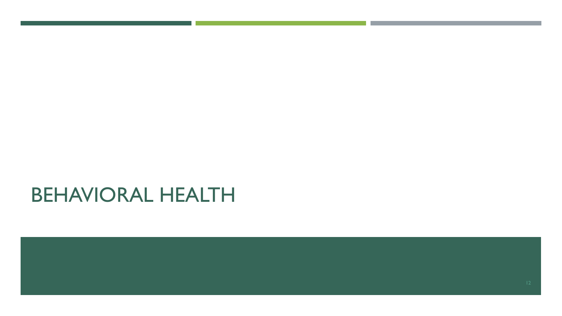## BEHAVIORAL HEALTH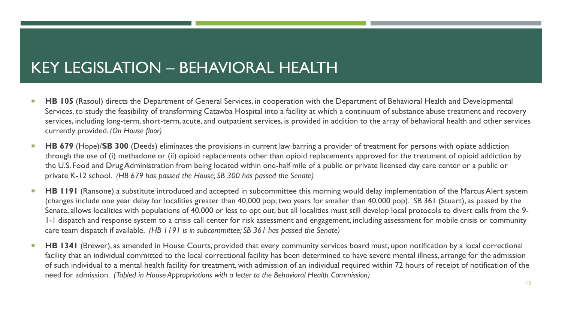#### KEY LEGISLATION – BEHAVIORAL HEALTH

- **HB 105** (Rasoul) directs the Department of General Services, in cooperation with the Department of Behavioral Health and Developmental Services, to study the feasibility of transforming Catawba Hospital into a facility at which a continuum of substance abuse treatment and recovery services, including long-term, short-term, acute, and outpatient services, is provided in addition to the array of behavioral health and other services currently provided. *(On House floor)*
- **HB 679** (Hope)/SB 300 (Deeds) eliminates the provisions in current law barring a provider of treatment for persons with opiate addiction through the use of (i) methadone or (ii) opioid replacements other than opioid replacements approved for the treatment of opioid addiction by the U.S. Food and Drug Administration from being located within one-half mile of a public or private licensed day care center or a public or private K-12 school. *(HB 679 has passed the House; SB 300 has passed the Senate)*
- **HB 1191** (Ransone) a substitute introduced and accepted in subcommittee this morning would delay implementation of the Marcus Alert system (changes include one year delay for localities greater than 40,000 pop; two years for smaller than 40,000 pop). SB 361 (Stuart), as passed by the Senate, allows localities with populations of 40,000 or less to opt out, but all localities must still develop local protocols to divert calls from the 9- 1-1 dispatch and response system to a crisis call center for risk assessment and engagement, including assessment for mobile crisis or community care team dispatch if available. *(HB 1191 is in subcommittee; SB 361 has passed the Senate)*
- **HB 1341** (Brewer), as amended in House Courts, provided that every community services board must, upon notification by a local correctional facility that an individual committed to the local correctional facility has been determined to have severe mental illness, arrange for the admission of such individual to a mental health facility for treatment, with admission of an individual required within 72 hours of receipt of notification of the need for admission. *(Tabled in House Appropriations with a letter to the Behavioral Health Commission)*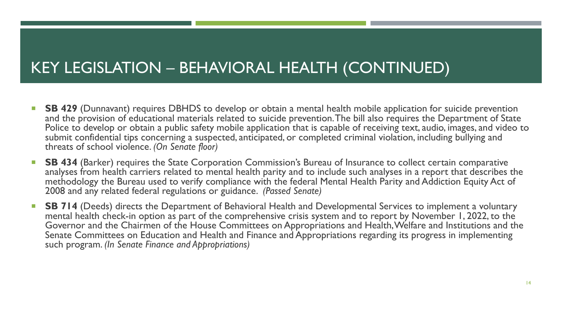### KEY LEGISLATION – BEHAVIORAL HEALTH (CONTINUED)

- **SB 429** (Dunnavant) requires DBHDS to develop or obtain a mental health mobile application for suicide prevention and the provision of educational materials related to suicide prevention. The bill also requires the Department of State Police to develop or obtain a public safety mobile application that is capable of receiving text, audio, images, and video to submit confidential tips concerning a suspected, anticipated, or completed criminal violation, including bullying and threats of school violence. *(On Senate floor)*
- **SB 434** (Barker) requires the State Corporation Commission's Bureau of Insurance to collect certain comparative analyses from health carriers related to mental health parity and to include such analyses in a report that describes the methodology the Bureau used to verify compliance with the federal Mental Health Parity and Addiction Equity Act of 2008 and any related federal regulations or guidance. *(Passed Senate)*
- **SB 714** (Deeds) directs the Department of Behavioral Health and Developmental Services to implement a voluntary mental health check-in option as part of the comprehensive crisis system and to report by November 1, 2022, to the Governor and the Chairmen of the House Committees on Appropriations and Health, Welfare and Institutions and the Senate Committees on Education and Health and Finance and Appropriations regarding its progress in implementing such program. *(In Senate Finance and Appropriations)*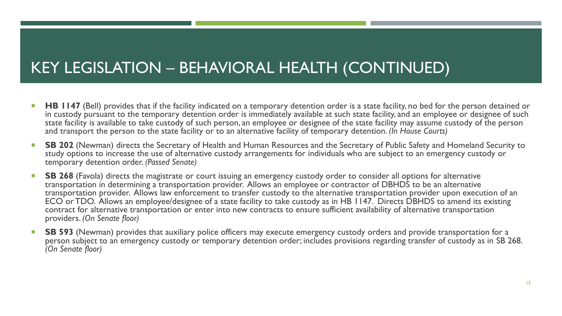## KEY LEGISLATION – BEHAVIORAL HEALTH (CONTINUED)

- **HB 1147** (Bell) provides that if the facility indicated on a temporary detention order is a state facility, no bed for the person detained or in custody pursuant to the temporary detention order is immediately available at such state facility, and an employee or designee of such state facility is available to take custody of such person, an employee or designee of the state facility may assume custody of the person and transport the person to the state facility or to an alternative facility of temporary detention. *(In House Courts)*
- **SB 202** (Newman) directs the Secretary of Health and Human Resources and the Secretary of Public Safety and Homeland Security to study options to increase the use of alternative custody arrangements for individuals who are subject to an emergency custody or temporary detention order. *(Passed Senate)*
- **SB 268** (Favola) directs the magistrate or court issuing an emergency custody order to consider all options for alternative transportation in determining a transportation provider. Allows an employee or contractor of DBHDS to be an alternative transportation provider. Allows law enforcement to transfer custody to the alternative transportation provider upon execution of an ECO or TDO. Allows an employee/designee of a state facility to take custody as in HB 1147. Directs DBHDS to amend its existing contract for alternative transportation or enter into new contracts to ensure sufficient availability of alternative transportation providers. *(On Senate floor)*
- **SB 593** (Newman) provides that auxiliary police officers may execute emergency custody orders and provide transportation for a person subject to an emergency custody or temporary detention order; includes provisions regarding transfer of custody as in SB 268. *(On Senate floor)*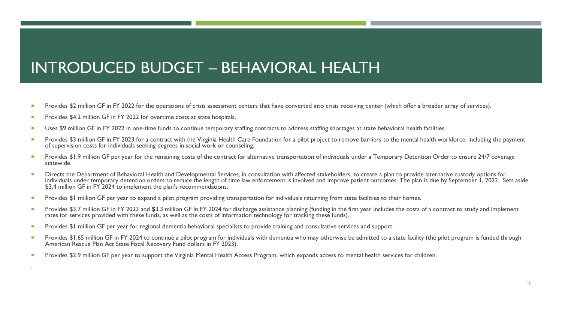## INTRODUCED BUDGET – BEHAVIORAL HEALTH

- Provides \$2 million GF in FY 2022 for the operations of crisis assessment centers that have converted into crisis receiving center (which offer a broader array of services).
- Provides \$4.2 million GF in FY 2022 for overtime costs at state hospitals.

.

- Uses \$9 million GF in FY 2022 in one-time funds to continue temporary staffing contracts to address staffing shortages at state behavioral health facilities.
- Provides \$3 million GF in FY 2023 for a contract with the Virginia Health Care Foundation for a pilot project to remove barriers to the mental health workforce, including the payment of supervision costs for individuals seeking degrees in social work or counseling.
- Provides \$1.9 million GF per year for the remaining costs of the contract for alternative transportation of individuals under a Temporary Detention Order to ensure 24/7 coverage statewide.
- Directs the Department of Behavioral Health and Developmental Services, in consultation with affected stakeholders, to create a plan to provide alternative custody options for individuals under temporary detention orders to reduce the length of time law enforcement is involved and improve patient outcomes. The plan is due by September 1, 2022. Sets aside \$3.4 million GF in FY 2024 to implement the plan's recommendations.
- Provides \$1 million GF per year to expand a pilot program providing transportation for individuals returning from state facilities to their homes.
- Provides \$3.7 million GF in FY 2023 and \$3.3 million GF in FY 2024 for discharge assistance planning (funding in the first year includes the costs of a contract to study and implement rates for services provided with these funds, as well as the costs of information technology for tracking these funds).
- **Provides \$1 million GF per year for regional dementia behavioral specialists to provide training and consultative services and support.**
- Provides \$1.65 million GF in FY 2024 to continue a pilot program for individuals with dementia who may otherwise be admitted to a state facility (the pilot program is funded through American Rescue Plan Act State Fiscal Recovery Fund dollars in FY 2023).
- Provides \$2.9 million GF per year to support the Virginia Mental Health Access Program, which expands access to mental health services for children.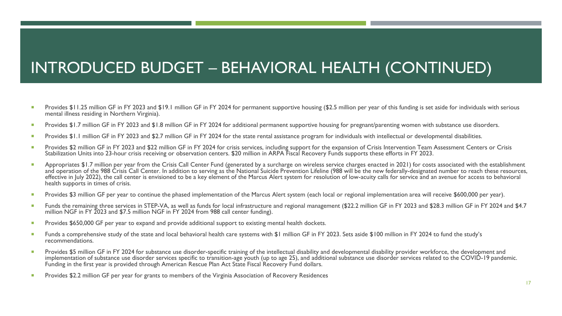## INTRODUCED BUDGET – BEHAVIORAL HEALTH (CONTINUED)

- Provides \$11.25 million GF in FY 2023 and \$19.1 million GF in FY 2024 for permanent supportive housing (\$2.5 million per year of this funding is set aside for individuals with serious mental illness residing in Northern Virginia).
- Provides \$1.7 million GF in FY 2023 and \$1.8 million GF in FY 2024 for additional permanent supportive housing for pregnant/parenting women with substance use disorders.
- Provides \$1.1 million GF in FY 2023 and \$2.7 million GF in FY 2024 for the state rental assistance program for individuals with intellectual or developmental disabilities.
- Provides \$2 million GF in FY 2023 and \$22 million GF in FY 2024 for crisis services, including support for the expansion of Crisis Intervention Team Assessment Centers or Crisis Stabilization Units into 23-hour crisis receiving or observation centers. \$20 million in ARPA Fiscal Recovery Funds supports these efforts in FY 2023.
- Appropriates \$1.7 million per year from the Crisis Call Center Fund (generated by a surcharge on wireless service charges enacted in 2021) for costs associated with the establishment and operation of the 988 Crisis Call Center. In addition to serving as the National Suicide Prevention Lifeline (988 will be the new federally-designated number to reach these resources, effective in July 2022), the call center is envisioned to be a key element of the Marcus Alert system for resolution of low-acuity calls for service and an avenue for access to behavioral health supports in times of crisis.
- **Provides \$3 million GF per year to continue the phased implementation of the Marcus Alert system (each local or regional implementation area will receive \$600,000 per year).**
- Funds the remaining three services in STEP-VA, as well as funds for local infrastructure and regional management (\$22.2 million GF in FY 2023 and \$28.3 million GF in FY 2024 and \$4.7 million NGF in FY 2023 and \$7.5 million NGF in FY 2024 from 988 call center funding).
- **Provides \$650,000 GF per year to expand and provide additional support to existing mental health dockets.**
- Funds a comprehensive study of the state and local behavioral health care systems with \$1 million GF in FY 2023. Sets aside \$100 million in FY 2024 to fund the study's recommendations.
- **Provides \$5 million GF in FY 2024 for substance use disorder-specific training of the intellectual disability and developmental disability provider workforce, the development and** implementation of substance use disorder services specific to transition-age youth (up to age 25), and additional substance use disorder services related to the COVID-19 pandemic. Funding in the first year is provided through American Rescue Plan Act State Fiscal Recovery Fund dollars.
- Provides \$2.2 million GF per year for grants to members of the Virginia Association of Recovery Residences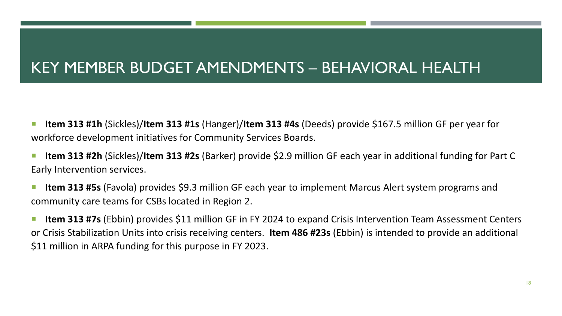## KEY MEMBER BUDGET AMENDMENTS – BEHAVIORAL HEALTH

- **Item 313 #1h** (Sickles)/**Item 313 #1s** (Hanger)/**Item 313 #4s** (Deeds) provide \$167.5 million GF per year for workforce development initiatives for Community Services Boards.
- **Item 313 #2h** (Sickles)/**Item 313 #2s** (Barker) provide \$2.9 million GF each year in additional funding for Part C Early Intervention services.
- **Iffem 313 #5s** (Favola) provides \$9.3 million GF each year to implement Marcus Alert system programs and community care teams for CSBs located in Region 2.
- **Item 313 #7s** (Ebbin) provides \$11 million GF in FY 2024 to expand Crisis Intervention Team Assessment Centers or Crisis Stabilization Units into crisis receiving centers. **Item 486 #23s** (Ebbin) is intended to provide an additional \$11 million in ARPA funding for this purpose in FY 2023.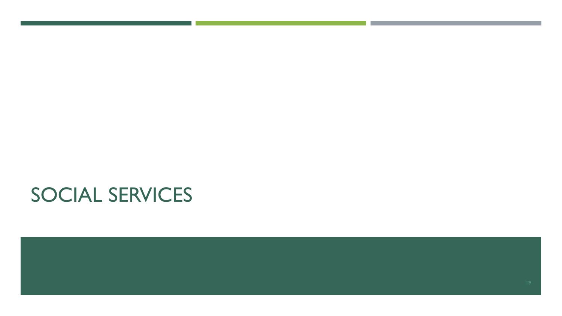# SOCIAL SERVICES

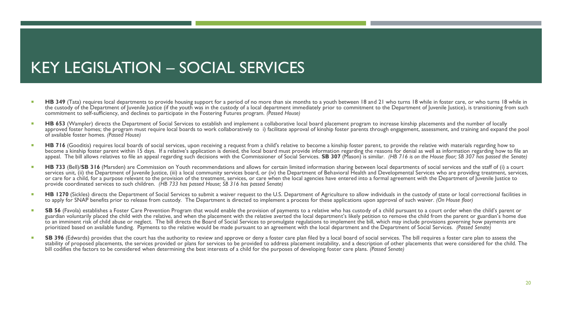## KEY LEGISLATION – SOCIAL SERVICES

- HB 349 (Tata) requires local departments to provide housing support for a period of no more than six months to a youth between 18 and 21 who turns 18 while in foster care, or who turns 18 while in the custody of the Department of Juvenile Justice (if the youth was in the custody of a local department immediately prior to commitment to the Department of Juvenile Justice), is transitioning from such commitment to self-sufficiency, and declines to participate in the Fostering Futures program. *(Passed House)*
- **HB 653** (Wampler) directs the Department of Social Services to establish and implement a collaborative local board placement program to increase kinship placements and the number of locally approved foster homes; the program must require local boards to work collaboratively to i) facilitate approval of kinship foster parents through engagement, assessment, and training and expand the pool of available foster homes. *(Passed House)*
- HB 716 (Gooditis) requires local boards of social services, upon receiving a request from a child's relative to become a kinship foster parent, to provide the relative with materials regarding how to become a kinship foster parent within 15 days. If a relative's application is denied, the local board must provide information regarding the reasons for denial as well as information regarding how to file an appeal. The bill allows relatives to file an appeal regarding such decisions with the Commissioner of Social Services. **SB 307** (Mason) is similar. *(HB 716 is on the House floor; SB 307 has passed the Senate)*
- **HB 733** (Bell)/**SB 316** (Marsden) are Commission on Youth recommendations and allows for certain limited information sharing between local departments of social services and the staff of (i) a court services unit, (ii) the Department of Juvenile Justice, (iii) a local community services board, or (iv) the Department of Behavioral Health and Developmental Services who are providing treatment, services, or care for a child, for a purpose relevant to the provision of the treatment, services, or care when the local agencies have entered into a formal agreement with the Department of Juvenile Justice to provide coordinated services to such children. *(HB 733 has passed House; SB 316 has passed Senate)*
- **HB 1270** (Sickles) directs the Department of Social Services to submit a waiver request to the U.S. Department of Agriculture to allow individuals in the custody of state or local correctional facilities in to apply for SNAP benefits prior to release from custody. The Department is directed to implement a process for these applications upon approval of such waiver. *(On House floor)*
- SB 56 (Favola) establishes a Foster Care Prevention Program that would enable the provision of payments to a relative who has custody of a child pursuant to a court order when the child's parent or guardian voluntarily placed the child with the relative, and when the placement with the relative averted the local department's likely petition to remove the child from the parent or guardian's home due to an imminent risk of child abuse or neglect. The bill directs the Board of Social Services to promulgate regulations to implement the bill, which may include provisions governing how payments are prioritized based on available funding. Payments to the relative would be made pursuant to an agreement with the local department and the Department of Social Services. *(Passed Senate)*
- SB 396 (Edwards) provides that the court has the authority to review and approve or deny a foster care plan filed by a local board of social services. The bill requires a foster care plan to assess the stability of proposed placements, the services provided or plans for services to be provided to address placement instability, and a description of other placements that were considered for the child. The bill codifies the factors to be considered when determining the best interests of a child for the purposes of developing foster care plans. *(Passed Senate)*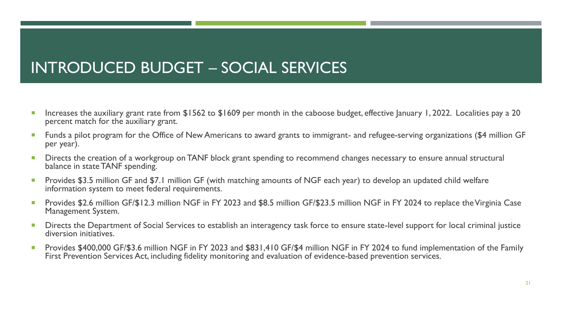## INTRODUCED BUDGET – SOCIAL SERVICES

- **Increases the auxiliary grant rate from \$1562 to \$1609 per month in the caboose budget, effective January 1, 2022. Localities pay a 20 eral in the state of the Caboose budget, effective January 1, 2022. Localities pay a 2** percent match for the auxiliary grant.
- Funds a pilot program for the Office of New Americans to award grants to immigrant- and refugee-serving organizations (\$4 million GF per year).
- **Directs the creation of a workgroup on TANF block grant spending to recommend changes necessary to ensure annual structural Distructural** balance in state TANF spending.
- Provides \$3.5 million GF and \$7.1 million GF (with matching amounts of NGF each year) to develop an updated child welfare information system to meet federal requirements.
- Provides \$2.6 million GF/\$12.3 million NGF in FY 2023 and \$8.5 million GF/\$23.5 million NGF in FY 2024 to replace the Virginia Case Management System.
- Directs the Department of Social Services to establish an interagency task force to ensure state-level support for local criminal justice diversion initiatives.
- Provides \$400,000 GF/\$3.6 million NGF in FY 2023 and \$831,410 GF/\$4 million NGF in FY 2024 to fund implementation of the Family First Prevention Services Act, including fidelity monitoring and evaluation of evidence-based prevention services.